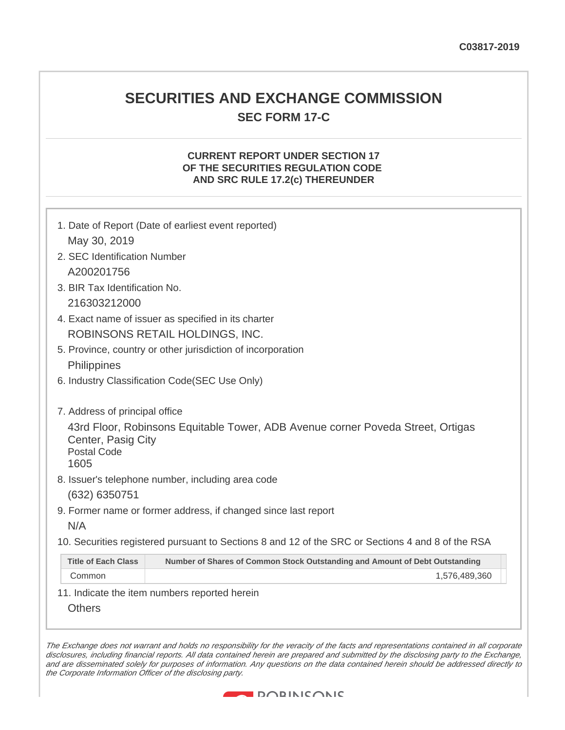## **SECURITIES AND EXCHANGE COMMISSION SEC FORM 17-C**

### **CURRENT REPORT UNDER SECTION 17 OF THE SECURITIES REGULATION CODE AND SRC RULE 17.2(c) THEREUNDER**

| 1. Date of Report (Date of earliest event reported)                                                                                 |  |
|-------------------------------------------------------------------------------------------------------------------------------------|--|
| May 30, 2019                                                                                                                        |  |
| 2. SEC Identification Number                                                                                                        |  |
| A200201756                                                                                                                          |  |
| 3. BIR Tax Identification No.                                                                                                       |  |
| 216303212000                                                                                                                        |  |
| 4. Exact name of issuer as specified in its charter                                                                                 |  |
| ROBINSONS RETAIL HOLDINGS, INC.                                                                                                     |  |
| 5. Province, country or other jurisdiction of incorporation                                                                         |  |
| Philippines                                                                                                                         |  |
| 6. Industry Classification Code(SEC Use Only)                                                                                       |  |
| 7. Address of principal office                                                                                                      |  |
| 43rd Floor, Robinsons Equitable Tower, ADB Avenue corner Poveda Street, Ortigas<br>Center, Pasig City<br><b>Postal Code</b><br>1605 |  |
| 8. Issuer's telephone number, including area code                                                                                   |  |
| (632) 6350751                                                                                                                       |  |
| 9. Former name or former address, if changed since last report                                                                      |  |
| N/A                                                                                                                                 |  |
| 10. Securities registered pursuant to Sections 8 and 12 of the SRC or Sections 4 and 8 of the RSA                                   |  |
| <b>Title of Each Class</b><br>Number of Shares of Common Stock Outstanding and Amount of Debt Outstanding                           |  |
| Common<br>1,576,489,360                                                                                                             |  |
| 11. Indicate the item numbers reported herein                                                                                       |  |
| <b>Others</b>                                                                                                                       |  |

The Exchange does not warrant and holds no responsibility for the veracity of the facts and representations contained in all corporate disclosures, including financial reports. All data contained herein are prepared and submitted by the disclosing party to the Exchange, and are disseminated solely for purposes of information. Any questions on the data contained herein should be addressed directly to the Corporate Information Officer of the disclosing party.

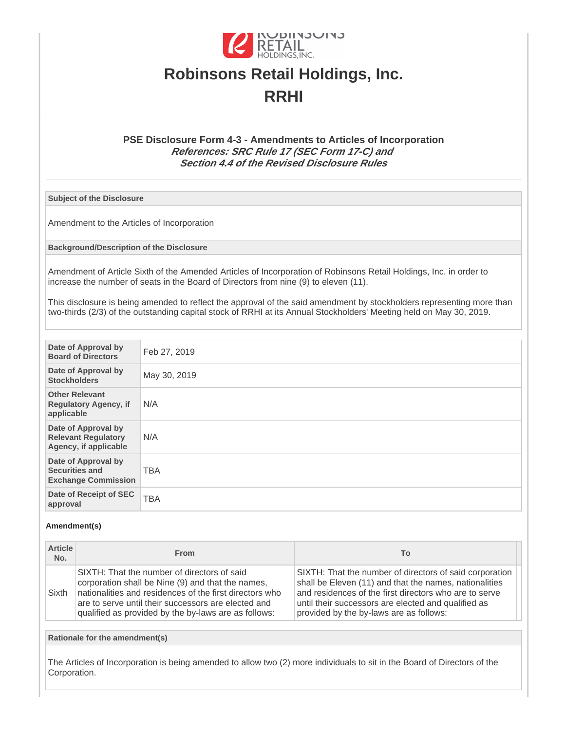

# **Robinsons Retail Holdings, Inc. RRHI**

#### **PSE Disclosure Form 4-3 - Amendments to Articles of Incorporation References: SRC Rule 17 (SEC Form 17-C) and Section 4.4 of the Revised Disclosure Rules**

**Subject of the Disclosure**

Amendment to the Articles of Incorporation

**Background/Description of the Disclosure**

Amendment of Article Sixth of the Amended Articles of Incorporation of Robinsons Retail Holdings, Inc. in order to increase the number of seats in the Board of Directors from nine (9) to eleven (11).

This disclosure is being amended to reflect the approval of the said amendment by stockholders representing more than two-thirds (2/3) of the outstanding capital stock of RRHI at its Annual Stockholders' Meeting held on May 30, 2019.

| Date of Approval by<br><b>Board of Directors</b>                           | Feb 27, 2019 |
|----------------------------------------------------------------------------|--------------|
| Date of Approval by<br><b>Stockholders</b>                                 | May 30, 2019 |
| <b>Other Relevant</b><br><b>Regulatory Agency, if</b><br>applicable        | N/A          |
| Date of Approval by<br><b>Relevant Regulatory</b><br>Agency, if applicable | N/A          |
| Date of Approval by<br><b>Securities and</b><br><b>Exchange Commission</b> | <b>TBA</b>   |
| Date of Receipt of SEC<br>approval                                         | <b>TBA</b>   |

#### **Amendment(s)**

| <b>Article</b><br>No. | <b>From</b>                                                                                                                                                                                                                                                                | To                                                                                                                                                                                                                                                                            |
|-----------------------|----------------------------------------------------------------------------------------------------------------------------------------------------------------------------------------------------------------------------------------------------------------------------|-------------------------------------------------------------------------------------------------------------------------------------------------------------------------------------------------------------------------------------------------------------------------------|
| Sixth                 | SIXTH: That the number of directors of said<br>corporation shall be Nine (9) and that the names,<br>nationalities and residences of the first directors who<br>are to serve until their successors are elected and<br>qualified as provided by the by-laws are as follows: | SIXTH: That the number of directors of said corporation<br>shall be Eleven (11) and that the names, nationalities<br>and residences of the first directors who are to serve<br>until their successors are elected and qualified as<br>provided by the by-laws are as follows: |

**Rationale for the amendment(s)**

The Articles of Incorporation is being amended to allow two (2) more individuals to sit in the Board of Directors of the Corporation.